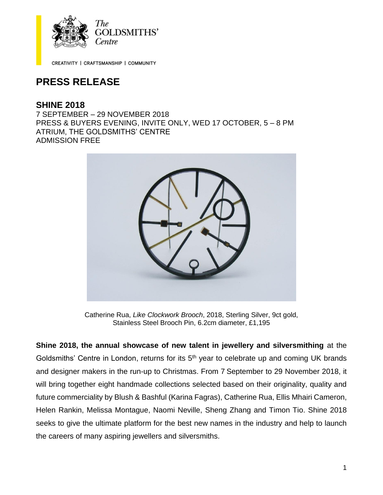

CREATIVITY | CRAFTSMANSHIP | COMMUNITY

# **PRESS RELEASE**

## **SHINE 2018**

7 SEPTEMBER – 29 NOVEMBER 2018 PRESS & BUYERS EVENING, INVITE ONLY, WED 17 OCTOBER, 5 – 8 PM ATRIUM, THE GOLDSMITHS' CENTRE ADMISSION FREE



Catherine Rua, *Like Clockwork Brooch*, 2018, Sterling Silver, 9ct gold, Stainless Steel Brooch Pin, 6.2cm diameter, £1,195

**Shine 2018, the annual showcase of new talent in jewellery and silversmithing** at the Goldsmiths' Centre in London, returns for its 5<sup>th</sup> year to celebrate up and coming UK brands and designer makers in the run-up to Christmas. From 7 September to 29 November 2018, it will bring together eight handmade collections selected based on their originality, quality and future commerciality by Blush & Bashful (Karina Fagras), Catherine Rua, Ellis Mhairi Cameron, Helen Rankin, Melissa Montague, Naomi Neville, Sheng Zhang and Timon Tio. Shine 2018 seeks to give the ultimate platform for the best new names in the industry and help to launch the careers of many aspiring jewellers and silversmiths.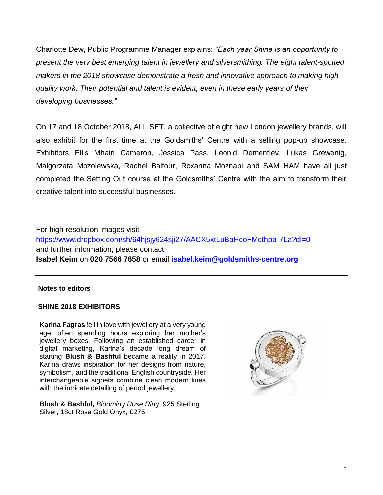Charlotte Dew, Public Programme Manager explains: *"Each year Shine is an opportunity to present the very best emerging talent in jewellery and silversmithing. The eight talent-spotted makers in the 2018 showcase demonstrate a fresh and innovative approach to making high quality work. Their potential and talent is evident, even in these early years of their developing businesses."*

On 17 and 18 October 2018, ALL SET, a collective of eight new London jewellery brands, will also exhibit for the first time at the Goldsmiths' Centre with a selling pop-up showcase. Exhibitors Ellis Mhairi Cameron, Jessica Pass, Leonid Dementiev, Lukas Grewenig, Malgorzata Mozolewska, Rachel Balfour, Roxanna Moznabi and SAM HAM have all just completed the Setting Out course at the Goldsmiths' Centre with the aim to transform their creative talent into successful businesses.

For high resolution images visit <https://www.dropbox.com/sh/64hjsjy624sji27/AACX5xtLuBaHcoFMqthpa-7La?dl=0> and further information, please contact: **Isabel Keim** on **020 7566 7658** or email **[isabel.keim@goldsmiths-centre.org](mailto:isabel.keim@goldsmiths-centre.org)**

### **Notes to editors**

#### **SHINE 2018 EXHIBITORS**

**Karina Fagras** fell in love with jewellery at a very young age, often spending hours exploring her mother's jewellery boxes. Following an established career in digital marketing, Karina's decade long dream of starting **Blush & Bashful** became a reality in 2017. Karina draws inspiration for her designs from nature, symbolism, and the traditional English countryside. Her interchangeable signets combine clean modern lines with the intricate detailing of period jewellery.

**Blush & Bashful,** *Blooming Rose Ring*, 925 Sterling Silver, 18ct Rose Gold Onyx, £275

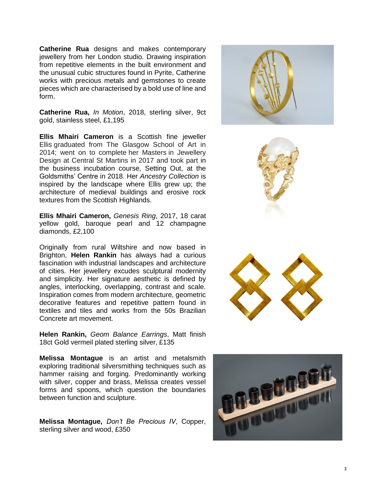**Catherine Rua** designs and makes contemporary jewellery from her London studio. Drawing inspiration from repetitive elements in the built environment and the unusual cubic structures found in Pyrite, Catherine works with precious metals and gemstones to create pieces which are characterised by a bold use of line and form.

**Catherine Rua,** *In Motion*, 2018, sterling silver, 9ct gold, stainless steel, £1 ,195

**Ellis Mhairi Cameron** is a Scottish fine jeweller Ellis graduated from The Glasgow School of Art in 2014 ; went on to complete her Masters in Jewellery Design at Central St Martins in 2017 and took part in the business incubation course, Setting Out, at the Goldsmiths' Centre in 2018. Her *Ancestry Collection* is inspired by the landscape where Ellis grew up; the architecture of medieval buildings and erosive rock textures from the Scottish Highlands.

**Ellis Mhairi Cameron,** *Genesis Ring*, 2017, 18 carat yellow gold, baroque pearl and 12 champagne diamonds, £2,100

Originally from rural Wiltshire and now based in Brighton, **Helen Rankin** has always had a curious fascination with industrial landscapes and architecture of cities. Her jewellery excudes sculptural modernity and simplicity. Her signature aesthetic is defined by angles, interlocking, overlapping, contrast and scale. Inspiration comes from modern architecture, geometric decorative features and repetitive pattern found in textiles and tiles and works from the 50s Brazilian Concrete art movement.

**Helen Rankin,** *Geom Balance Earrings*, Matt finish 18ct Gold vermeil plated sterling silver, £135

**Melissa Montague** is an artist and metalsmith exploring traditional silversmithing techniques such as hammer raising and forging. Predominantly working with silver, copper and brass, Melissa creates vessel forms and spoons, which question the boundaries between function and sculpture.

**Melissa Montague,** *Don't Be Precious IV*, Copper, sterling silver and wood, £350